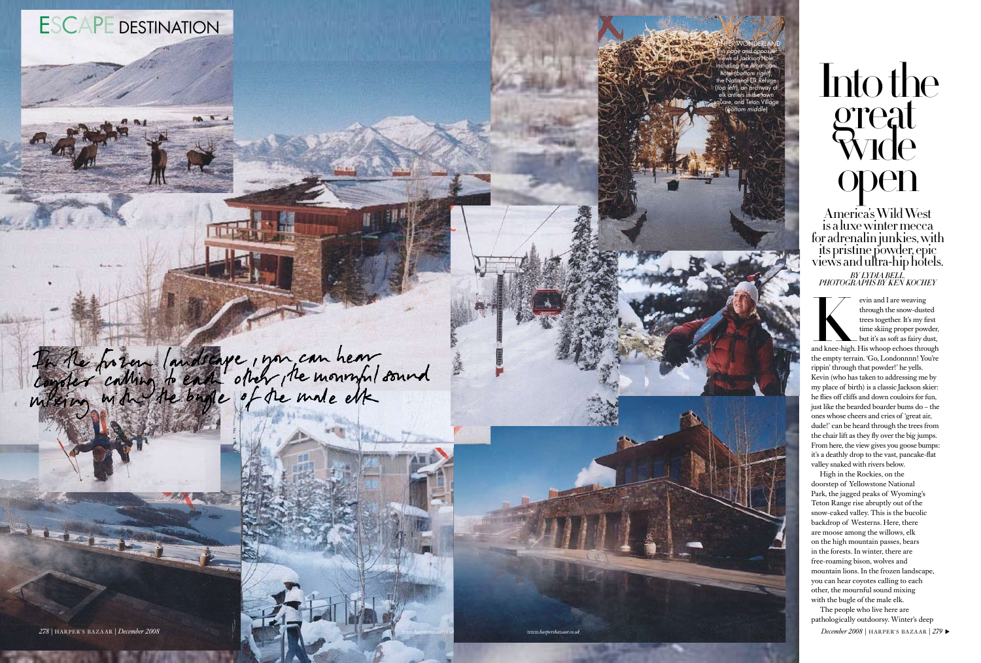evin and I are weaving<br>through the snow-dusted<br>trees together. It's my first<br>time skiing proper powder,<br>but it's as soft as fairy dust,<br>and knee-high. His whoop echoes through<br>the empty terrain 'Go I ondonnan! You're through the snow-dusted trees together. It's my first time skiing proper powder, but it's as soft as fairy dust,

the empty terrain. 'Go, Londonnnn! You're rippin' through that powder!' he yells. Kevin (who has taken to addressing me by my place of birth) is a classic Jackson skier: he flies off cliffs and down couloirs for fun, just like the bearded boarder bums do – the ones whose cheers and cries of 'great air, dude!' can be heard through the trees from the chair lift as they fly over the big jumps. From here, the view gives you goose bumps: it's a deathly drop to the vast, pancake-flat valley snaked with rivers below.

The people who live here are pathologically outdoorsy. Winter's deep ER'S BAZAAR | 279

High in the Rockies, on the doorstep of Yellowstone National Park, the jagged peaks of Wyoming's Teton Range rise abruptly out of the snow-caked valley. This is the bucolic backdrop of Westerns. Here, there are moose among the willows, elk on the high mountain passes, bears in the forests. In winter, there are free-roaming bison, wolves and mountain lions. In the frozen landscape, you can hear coyotes calling to each other, the mournful sound mixing with the bugle of the male elk.



WINTER WONDERLAND This page and opposite: views of Jackson Hole, including the Amangani hotel (bottom right), National Elk Refuge (top left), an archway of elk antlers in the town square, and Teton Village (bottom middle )

# Into the great Wide open

America's Wild West is a luxe winter mecca for adrenalin junkies, with its pristine powder, epic views and ultra-hip hotels. *BY LYDIA BELL.*<br>!P. 1 RH2. RH4. HTML *2000 FERENT BEN ROCHEY* 

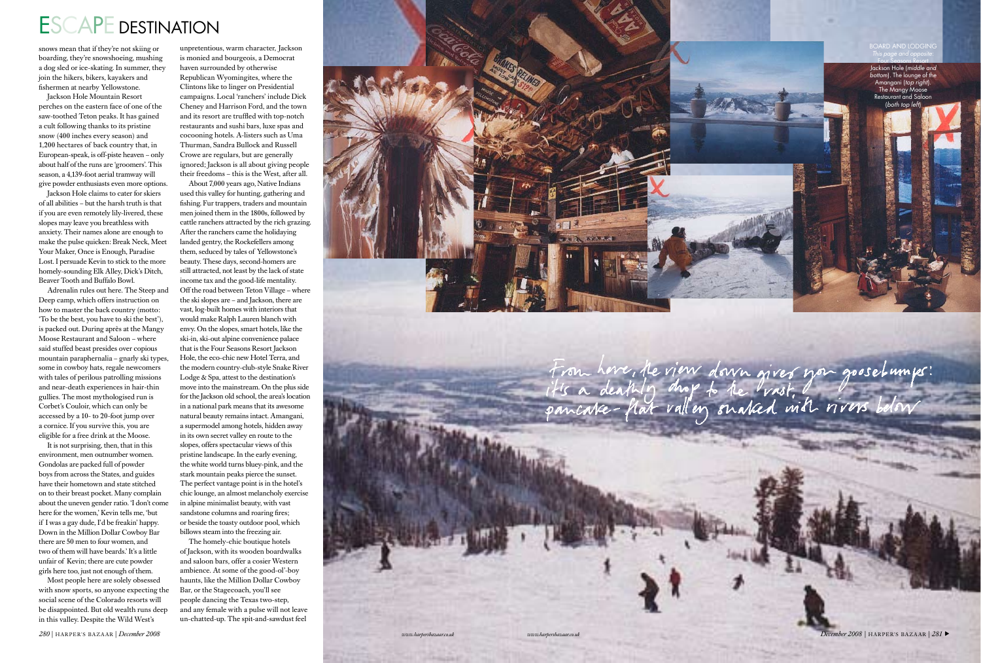## ESCAPE DESTINATION

snows mean that if they're not skiing or boarding, they're snowshoeing, mushing a dog sled or ice-skating. In summer, they join the hikers, bikers, kayakers and fishermen at nearby Yellowstone.

Jackson Hole Mountain Resort perches on the eastern face of one of the saw-toothed Teton peaks. It has gained a cult following thanks to its pristine snow (400 inches every season) and 1,200 hectares of back country that, in European-speak, is off-piste heaven – only about half of the runs are 'groomers'. This season, a 4,139-foot aerial tramway will give powder enthusiasts even more options.

Jackson Hole claims to cater for skiers of all abilities – but the harsh truth is that if you are even remotely lily-livered, these slopes may leave you breathless with anxiety. Their names alone are enough to make the pulse quicken: Break Neck, Meet Your Maker, Once is Enough, Paradise Lost. I persuade Kevin to stick to the more homely-sounding Elk Alley, Dick's Ditch, Beaver Tooth and Buffalo Bowl.

Adrenalin rules out here. The Steep and Deep camp, which offers instruction on how to master the back country (motto: 'To be the best, you have to ski the best'), is packed out. During après at the Mangy Moose Restaurant and Saloon – where said stuffed beast presides over copious mountain paraphernalia – gnarly ski types, some in cowboy hats, regale newcomers with tales of perilous patrolling missions and near-death experiences in hair-thin gullies. The most mythologised run is Corbet's Couloir, which can only be accessed by a 10- to 20-foot jump over a cornice. If you survive this, you are eligible for a free drink at the Moose.

It is not surprising, then, that in this environment, men outnumber women. Gondolas are packed full of powder boys from across the States, and guides have their hometown and state stitched on to their breast pocket. Many complain about the uneven gender ratio. 'I don't come here for the women,' Kevin tells me, 'but if I was a gay dude, I'd be freakin' happy. Down in the Million Dollar Cowboy Bar there are 50 men to four women, and two of them will have beards.' It's a little unfair of Kevin; there are cute powder girls here too, just not enough of them.

Most people here are solely obsessed with snow sports, so anyone expecting the social scene of the Colorado resorts will be disappointed. But old wealth runs deep in this valley. Despite the Wild West's

unpretentious, warm character, Jackson

is monied and bourgeois, a Democrat haven surrounded by otherwise Republican Wyomingites, where the Clintons like to linger on Presidential campaigns. Local 'ranchers' include Dick Cheney and Harrison Ford, and the town and its resort are truffled with top-notch restaurants and sushi bars, luxe spas and cocooning hotels. A-listers such as Uma Thurman, Sandra Bullock and Russell Crowe are regulars, but are generally ignored; Jackson is all about giving people their freedoms – this is the West, after all.

About 7,000 years ago, Native Indians used this valley for hunting, gathering and fishing. Fur trappers, traders and mountain men joined them in the 1800s, followed by cattle ranchers attracted by the rich grazing. After the ranchers came the holidaying landed gentry, the Rockefellers among them, seduced by tales of Yellowstone's beauty. These days, second-homers are still attracted, not least by the lack of state income tax and the good-life mentality. Off the road between Teton Village – where the ski slopes are – and Jackson, there are vast, log-built homes with interiors that would make Ralph Lauren blanch with envy. On the slopes, smart hotels, like the ski-in, ski-out alpine convenience palace that is the Four Seasons Resort Jackson Hole, the eco-chic new Hotel Terra, and the modern country-club-style Snake River Lodge & Spa, attest to the destination's move into the mainstream. On the plus side for the Jackson old school, the area's location in a national park means that its awesome natural beauty remains intact. Amangani, a supermodel among hotels, hidden away in its own secret valley en route to the slopes, offers spectacular views of this pristine landscape. In the early evening, the white world turns bluey-pink, and the stark mountain peaks pierce the sunset. The perfect vantage point is in the hotel's chic lounge, an almost melancholy exercise in alpine minimalist beauty, with vast sandstone columns and roaring fires; or beside the toasty outdoor pool, which billows steam into the freezing air.

The homely-chic boutique hotels of Jackson, with its wooden boardwalks and saloon bars, offer a cosier Western ambience. At some of the good-ol'-boy haunts, like the Million Dollar Cowboy Bar, or the Stagecoach, you'll see people dancing the Texas two-step, and any female with a pulse will not leave un-chatted-up. The spit-and-sawdust feel